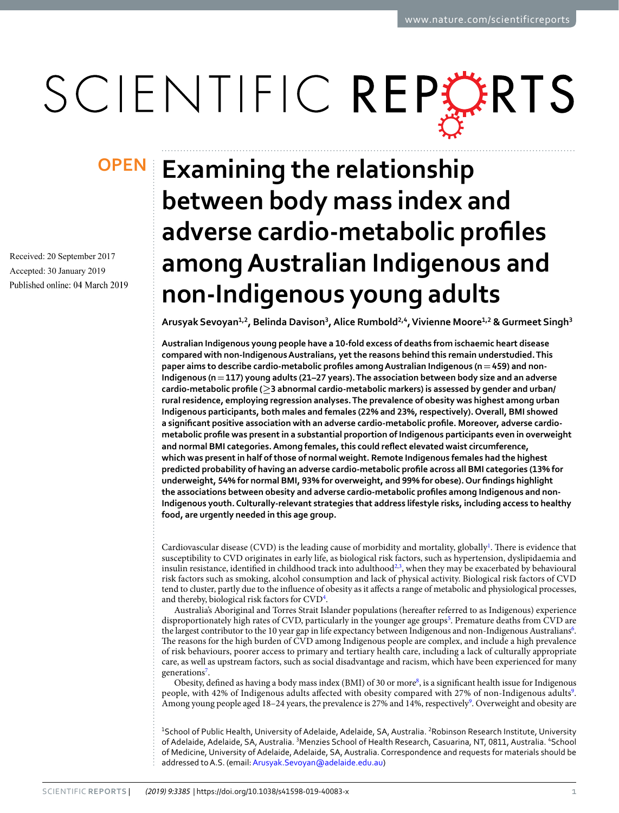# SCIENTIFIC REPERTS

Received: 20 September 2017 Accepted: 30 January 2019 Published online: 04 March 2019

## **Examining the relationship OPENbetween body mass index and adverse cardio-metabolic profles among Australian Indigenous and non-Indigenous young adults**

**Arusyak Sevoyan1,2, Belinda Davison3, Alice Rumbold2,4, Vivienne Moore1,2 & Gurmeet Singh<sup>3</sup>**

**Australian Indigenous young people have a 10-fold excess of deaths from ischaemic heart disease compared with non-Indigenous Australians, yet the reasons behind this remain understudied. This paper aims to describe cardio-metabolic profles among Australian Indigenous (n=459) and non-Indigenous (n=117) young adults (21–27 years). The association between body size and an adverse cardio-metabolic profle (≥3 abnormal cardio-metabolic markers) is assessed by gender and urban/ rural residence, employing regression analyses. The prevalence of obesity was highest among urban Indigenous participants, both males and females (22% and 23%, respectively). Overall, BMI showed a signifcant positive association with an adverse cardio-metabolic profle. Moreover, adverse cardiometabolic profle was present in a substantial proportion of Indigenous participants even in overweight and normal BMI categories. Among females, this could refect elevated waist circumference, which was present in half of those of normal weight. Remote Indigenous females had the highest predicted probability of having an adverse cardio-metabolic profle across all BMI categories (13% for underweight, 54% for normal BMI, 93% for overweight, and 99% for obese). Our fndings highlight the associations between obesity and adverse cardio-metabolic profles among Indigenous and non-Indigenous youth. Culturally-relevant strategies that address lifestyle risks, including access to healthy food, are urgently needed in this age group.**

Cardiovascular disease (CVD) is the leading cause of morbidity and mortality, globally<sup>1</sup>. There is evidence that susceptibility to CVD originates in early life, as biological risk factors, such as hypertension, dyslipidaemia and insulin resistance, identified in childhood track into adulthood $^{2,3}$  $^{2,3}$  $^{2,3}$  $^{2,3}$  $^{2,3}$ , when they may be exacerbated by behavioural risk factors such as smoking, alcohol consumption and lack of physical activity. Biological risk factors of CVD tend to cluster, partly due to the infuence of obesity as it afects a range of metabolic and physiological processes, and thereby, biological risk factors for CVD<sup>[4](#page-6-3)</sup>.

Australia's Aboriginal and Torres Strait Islander populations (hereafer referred to as Indigenous) experience disproportionately high rates of CVD, particularly in the younger age groups<sup>[5](#page-6-4)</sup>. Premature deaths from CVD are the largest contributor to the 10 year gap in life expectancy between Indigenous and non-Indigenous Australians<sup>[6](#page-6-5)</sup>. The reasons for the high burden of CVD among Indigenous people are complex, and include a high prevalence of risk behaviours, poorer access to primary and tertiary health care, including a lack of culturally appropriate care, as well as upstream factors, such as social disadvantage and racism, which have been experienced for many generations<sup>7</sup>.

Obesity, defined as having a body mass index (BMI) of 30 or more<sup>8</sup>, is a significant health issue for Indigenous people, with 42% of Indigenous adults affected with obesity compared with 27% of non-Indigenous adults<sup>[9](#page-6-8)</sup>. Among young people aged 18-24 years, the prevalence is 27% and 14%, respectively<sup>9</sup>. Overweight and obesity are

<sup>1</sup>School of Public Health, University of Adelaide, Adelaide, SA, Australia. <sup>2</sup>Robinson Research Institute, University of Adelaide, Adelaide, SA, Australia. <sup>3</sup>Menzies School of Health Research, Casuarina, NT, 0811, Australia. <sup>4</sup>School of Medicine, University of Adelaide, Adelaide, SA, Australia. Correspondence and requests for materials should be addressed to A.S. (email: [Arusyak.Sevoyan@adelaide.edu.au\)](mailto:Arusyak.Sevoyan@adelaide.edu.au)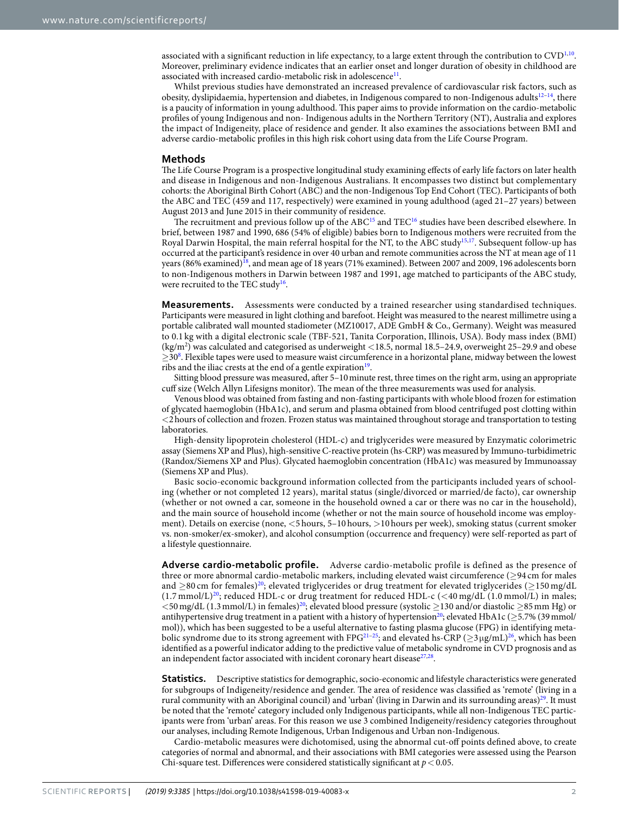associated with a significant reduction in life expectancy, to a large extent through the contribution to  $CVD^{1,10}$  $CVD^{1,10}$  $CVD^{1,10}$ . Moreover, preliminary evidence indicates that an earlier onset and longer duration of obesity in childhood are associated with increased cardio-metabolic risk in adolescence<sup>[11](#page-6-10)</sup>.

Whilst previous studies have demonstrated an increased prevalence of cardiovascular risk factors, such as obesity, dyslipidaemia, hypertension and diabetes, in Indigenous compared to non-Indigenous adults<sup>[12](#page-6-11)–[14](#page-6-12)</sup>, there is a paucity of information in young adulthood. This paper aims to provide information on the cardio-metabolic profles of young Indigenous and non- Indigenous adults in the Northern Territory (NT), Australia and explores the impact of Indigeneity, place of residence and gender. It also examines the associations between BMI and adverse cardio-metabolic profles in this high risk cohort using data from the Life Course Program.

#### **Methods**

The Life Course Program is a prospective longitudinal study examining effects of early life factors on later health and disease in Indigenous and non-Indigenous Australians. It encompasses two distinct but complementary cohorts: the Aboriginal Birth Cohort (ABC) and the non-Indigenous Top End Cohort (TEC). Participants of both the ABC and TEC (459 and 117, respectively) were examined in young adulthood (aged 21–27 years) between August 2013 and June 2015 in their community of residence.

The recruitment and previous follow up of the  $ABC^{15}$  and  $TEC^{16}$  $TEC^{16}$  $TEC^{16}$  studies have been described elsewhere. In brief, between 1987 and 1990, 686 (54% of eligible) babies born to Indigenous mothers were recruited from the Royal Darwin Hospital, the main referral hospital for the NT, to the ABC study[15,](#page-6-13)[17.](#page-6-15) Subsequent follow-up has occurred at the participant's residence in over 40 urban and remote communities across the NT at mean age of 11 years (86% examined)<sup>[18](#page-6-16)</sup>, and mean age of 18 years (71% examined). Between 2007 and 2009, 196 adolescents born to non-Indigenous mothers in Darwin between 1987 and 1991, age matched to participants of the ABC study, were recruited to the TEC study<sup>16</sup>.

**Measurements.** Assessments were conducted by a trained researcher using standardised techniques. Participants were measured in light clothing and barefoot. Height was measured to the nearest millimetre using a portable calibrated wall mounted stadiometer (MZ10017, ADE GmbH & Co., Germany). Weight was measured to 0.1 kg with a digital electronic scale (TBF-521, Tanita Corporation, Illinois, USA). Body mass index (BMI) (kg/m<sup>2</sup>) was calculated and categorised as underweight <18.5, normal 18.5–24.9, overweight 25–29.9 and obese  $\geq$ 30<sup>8</sup>. Flexible tapes were used to measure waist circumference in a horizontal plane, midway between the lowest ribs and the iliac crests at the end of a gentle expiration $19$ .

Sitting blood pressure was measured, afer 5–10minute rest, three times on the right arm, using an appropriate cuff size (Welch Allyn Lifesigns monitor). The mean of the three measurements was used for analysis.

Venous blood was obtained from fasting and non-fasting participants with whole blood frozen for estimation of glycated haemoglobin (HbA1c), and serum and plasma obtained from blood centrifuged post clotting within <2hours of collection and frozen. Frozen status was maintained throughout storage and transportation to testing laboratories.

High-density lipoprotein cholesterol (HDL-c) and triglycerides were measured by Enzymatic colorimetric assay (Siemens XP and Plus), high-sensitive C-reactive protein (hs-CRP) was measured by Immuno-turbidimetric (Randox/Siemens XP and Plus). Glycated haemoglobin concentration (HbA1c) was measured by Immunoassay (Siemens XP and Plus).

Basic socio-economic background information collected from the participants included years of schooling (whether or not completed 12 years), marital status (single/divorced or married/de facto), car ownership (whether or not owned a car, someone in the household owned a car or there was no car in the household), and the main source of household income (whether or not the main source of household income was employment). Details on exercise (none, <5 hours, 5–10 hours, >10 hours per week), smoking status (current smoker vs. non-smoker/ex-smoker), and alcohol consumption (occurrence and frequency) were self-reported as part of a lifestyle questionnaire.

**Adverse cardio-metabolic profile.** Adverse cardio-metabolic profile is defined as the presence of three or more abnormal cardio-metabolic markers, including elevated waist circumference (≥94 cm for males and ≥80 cm for females)[20;](#page-6-18) elevated triglycerides or drug treatment for elevated triglycerides (≥150 mg/dL  $(1.7 \text{ mmol/L})^{20}$ ; reduced HDL-c or drug treatment for reduced HDL-c  $( $40 \text{ mg/dL}$  (1.0 mmol/L) in males;$  $<$ 50 mg/dL (1.3 mmol/L) in females)<sup>20</sup>; elevated blood pressure (systolic >130 and/or diastolic >85 mm Hg) or antihypertensive drug treatment in a patient with a history of hypertension<sup>20</sup>; elevated HbA1c ( $\geq$ 5.7% (39 mmol/ mol)), which has been suggested to be a useful alternative to fasting plasma glucose (FPG) in identifying meta-bolic syndrome due to its strong agreement with FPG<sup>[21](#page-6-19)–25</sup>; and elevated hs-CRP ( $\geq$ 3 μg/mL)<sup>26</sup>, which has been identifed as a powerful indicator adding to the predictive value of metabolic syndrome in CVD prognosis and as an independent factor associated with incident coronary heart disease $27,28$  $27,28$  $27,28$ .

**Statistics.** Descriptive statistics for demographic, socio-economic and lifestyle characteristics were generated for subgroups of Indigeneity/residence and gender. The area of residence was classified as 'remote' (living in a rural community with an Aboriginal council) and 'urban' (living in Darwin and its surrounding areas)<sup>[29](#page-6-24)</sup>. It must be noted that the 'remote' category included only Indigenous participants, while all non-Indigenous TEC participants were from 'urban' areas. For this reason we use 3 combined Indigeneity/residency categories throughout our analyses, including Remote Indigenous, Urban Indigenous and Urban non-Indigenous.

Cardio-metabolic measures were dichotomised, using the abnormal cut-of points defned above, to create categories of normal and abnormal, and their associations with BMI categories were assessed using the Pearson Chi-square test. Differences were considered statistically significant at  $p < 0.05$ .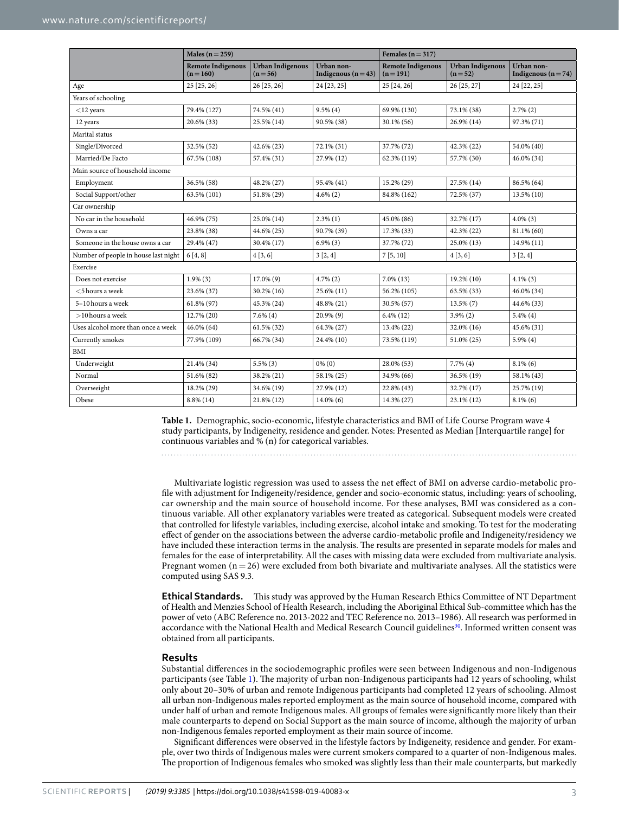<span id="page-2-0"></span>

|                                      | Males ( $n = 259$ )                   |                                     |                                   | Females $(n=317)$                     |                                     |                                   |  |  |  |
|--------------------------------------|---------------------------------------|-------------------------------------|-----------------------------------|---------------------------------------|-------------------------------------|-----------------------------------|--|--|--|
|                                      | <b>Remote Indigenous</b><br>$(n=160)$ | <b>Urban Indigenous</b><br>$(n=56)$ | Urban non-<br>Indigenous $(n=43)$ | <b>Remote Indigenous</b><br>$(n=191)$ | <b>Urban Indigenous</b><br>$(n=52)$ | Urban non-<br>Indigenous $(n=74)$ |  |  |  |
| Age                                  | 25 [25, 26]                           | 26 [25, 26]                         | 24 [23, 25]                       | 25 [24, 26]                           | 26 [25, 27]                         | 24 [22, 25]                       |  |  |  |
| Years of schooling                   |                                       |                                     |                                   |                                       |                                     |                                   |  |  |  |
| $<$ 12 years                         | 79.4% (127)                           | 74.5% (41)                          | $9.5\%$ (4)                       | 69.9% (130)                           | 73.1% (38)                          | $2.7\%(2)$                        |  |  |  |
| 12 years                             | 20.6% (33)                            | 25.5% (14)                          | 90.5% (38)                        | 30.1% (56)                            | 26.9% (14)                          | 97.3% (71)                        |  |  |  |
| Marital status                       |                                       |                                     |                                   |                                       |                                     |                                   |  |  |  |
| Single/Divorced                      | 32.5% (52)                            | 42.6% (23)                          | 72.1% (31)                        | 37.7% (72)                            | 42.3% (22)                          | 54.0% (40)                        |  |  |  |
| Married/De Facto                     | 67.5% (108)                           | 57.4% (31)                          | 27.9% (12)                        | 62.3% (119)                           | 57.7% (30)                          | 46.0% (34)                        |  |  |  |
| Main source of household income      |                                       |                                     |                                   |                                       |                                     |                                   |  |  |  |
| Employment                           | 36.5% (58)                            | 48.2% (27)                          | 95.4% (41)                        | 15.2% (29)                            | 27.5% (14)                          | 86.5% (64)                        |  |  |  |
| Social Support/other                 | 63.5% (101)                           | 51.8% (29)                          | $4.6\%$ (2)                       | 84.8% (162)                           | 72.5% (37)                          | 13.5% (10)                        |  |  |  |
| Car ownership                        |                                       |                                     |                                   |                                       |                                     |                                   |  |  |  |
| No car in the household              | 46.9% (75)                            | 25.0% (14)                          | $2.3\%$ $(1)$                     | 45.0% (86)                            | 32.7% (17)                          | $4.0\%$ (3)                       |  |  |  |
| Owns a car                           | 23.8% (38)                            | 44.6% (25)                          | 90.7% (39)                        | 17.3% (33)                            | 42.3% (22)                          | $81.1\%$ (60)                     |  |  |  |
| Someone in the house owns a car      | 29.4% (47)                            | 30.4% (17)                          | $6.9\%$ $(3)$                     | 37.7% (72)                            | 25.0% (13)                          | 14.9% (11)                        |  |  |  |
| Number of people in house last night | 6[4,8]                                | 4 [3, 6]                            | 3[2,4]                            | 7[5, 10]                              | 4 [3, 6]                            | 3[2,4]                            |  |  |  |
| Exercise                             |                                       |                                     |                                   |                                       |                                     |                                   |  |  |  |
| Does not exercise                    | $1.9\%$ $(3)$                         | 17.0% (9)                           | $4.7\%(2)$                        | $7.0\%$ (13)                          | 19.2% (10)                          | $4.1\%$ (3)                       |  |  |  |
| <5 hours a week                      | 23.6% (37)                            | $30.2\%$ (16)                       | 25.6% (11)                        | 56.2% (105)                           | $63.5\%$ (33)                       | 46.0% (34)                        |  |  |  |
| 5-10 hours a week                    | 61.8% (97)                            | 45.3% (24)                          | 48.8% (21)                        | 30.5% (57)                            | $13.5\%$ (7)                        | 44.6% (33)                        |  |  |  |
| $>10$ hours a week                   | 12.7% (20)                            | $7.6\%$ (4)                         | $20.9\%$ (9)                      | $6.4\%$ (12)                          | $3.9\%(2)$                          | $5.4\%$ (4)                       |  |  |  |
| Uses alcohol more than once a week   | 46.0% (64)                            | $61.5\%$ (32)                       | 64.3% (27)                        | 13.4% (22)                            | 32.0% (16)                          | 45.6% (31)                        |  |  |  |
| Currently smokes                     | 77.9% (109)                           | 66.7% (34)                          | 24.4% (10)                        | 73.5% (119)                           | 51.0% (25)                          | $5.9\%$ (4)                       |  |  |  |
| BMI                                  |                                       |                                     |                                   |                                       |                                     |                                   |  |  |  |
| Underweight                          | 21.4% (34)                            | $5.5\%$ (3)                         | $0\%$ (0)                         | 28.0% (53)                            | $7.7\%$ (4)                         | $8.1\%$ (6)                       |  |  |  |
| Normal                               | 51.6% (82)                            | 38.2% (21)                          | 58.1% (25)                        | 34.9% (66)                            | 36.5% (19)                          | 58.1% (43)                        |  |  |  |
| Overweight                           | 18.2% (29)                            | 34.6% (19)                          | 27.9% (12)                        | 22.8% (43)                            | 32.7% (17)                          | 25.7% (19)                        |  |  |  |
| Obese                                | 8.8% (14)                             | 21.8% (12)                          | $14.0\%$ (6)                      | 14.3% (27)                            | 23.1% (12)                          | $8.1\%$ (6)                       |  |  |  |

**Table 1.** Demographic, socio-economic, lifestyle characteristics and BMI of Life Course Program wave 4 study participants, by Indigeneity, residence and gender. Notes: Presented as Median [Interquartile range] for continuous variables and % (n) for categorical variables.

Multivariate logistic regression was used to assess the net efect of BMI on adverse cardio-metabolic profle with adjustment for Indigeneity/residence, gender and socio-economic status, including: years of schooling, car ownership and the main source of household income. For these analyses, BMI was considered as a continuous variable. All other explanatory variables were treated as categorical. Subsequent models were created that controlled for lifestyle variables, including exercise, alcohol intake and smoking. To test for the moderating efect of gender on the associations between the adverse cardio-metabolic profle and Indigeneity/residency we have included these interaction terms in the analysis. The results are presented in separate models for males and females for the ease of interpretability. All the cases with missing data were excluded from multivariate analysis. Pregnant women ( $n=26$ ) were excluded from both bivariate and multivariate analyses. All the statistics were computed using SAS 9.3.

**Ethical Standards.** Tis study was approved by the Human Research Ethics Committee of NT Department of Health and Menzies School of Health Research, including the Aboriginal Ethical Sub-committee which has the power of veto (ABC Reference no. 2013-2022 and TEC Reference no. 2013–1986). All research was performed in accordance with the National Health and Medical Research Council guidelines<sup>30</sup>. Informed written consent was obtained from all participants.

#### **Results**

Substantial diferences in the sociodemographic profles were seen between Indigenous and non-Indigenous participants (see Table [1](#page-2-0)). The majority of urban non-Indigenous participants had 12 years of schooling, whilst only about 20–30% of urban and remote Indigenous participants had completed 12 years of schooling. Almost all urban non-Indigenous males reported employment as the main source of household income, compared with under half of urban and remote Indigenous males. All groups of females were signifcantly more likely than their male counterparts to depend on Social Support as the main source of income, although the majority of urban non-Indigenous females reported employment as their main source of income.

Signifcant diferences were observed in the lifestyle factors by Indigeneity, residence and gender. For example, over two thirds of Indigenous males were current smokers compared to a quarter of non-Indigenous males. The proportion of Indigenous females who smoked was slightly less than their male counterparts, but markedly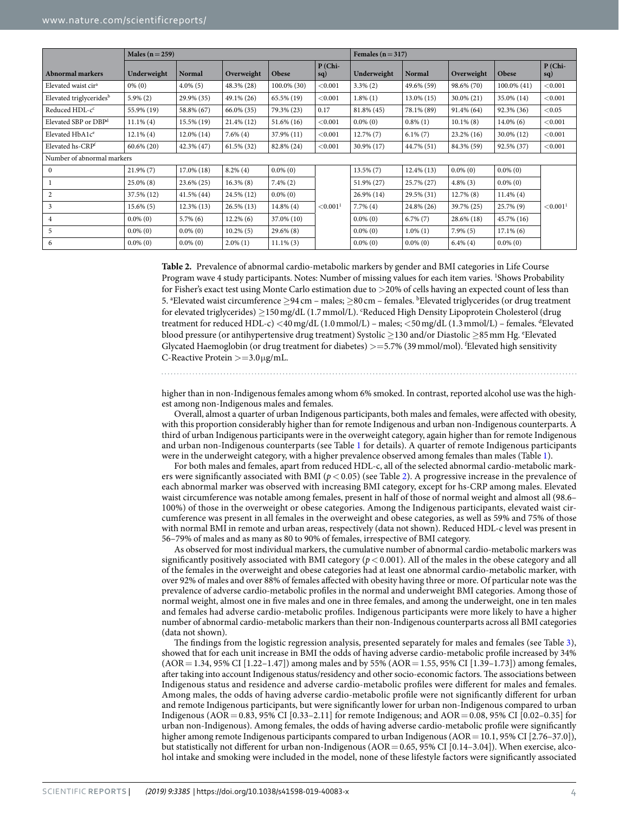<span id="page-3-0"></span>

|                                     | Males $(n=259)$ |               |               |              | Females $(n=317)$       |             |               |               |              |                  |
|-------------------------------------|-----------------|---------------|---------------|--------------|-------------------------|-------------|---------------|---------------|--------------|------------------|
| <b>Abnormal markers</b>             | Underweight     | <b>Normal</b> | Overweight    | Obese        | $P$ (Chi-<br>sq)        | Underweight | <b>Normal</b> | Overweight    | Obese        | $P$ (Chi-<br>sq) |
| Elevated waist cir <sup>a</sup>     | $0\%$ (0)       | $4.0\%$ (5)   | 48.3% (28)    | 100.0% (30)  | < 0.001                 | $3.3\%$ (2) | 49.6% (59)    | 98.6% (70)    | 100.0% (41)  | < 0.001          |
| Elevated triglycerides <sup>b</sup> | $5.9\%(2)$      | 29.9% (35)    | 49.1% (26)    | 65.5% (19)   | < 0.001                 | $1.8\%$ (1) | 13.0% (15)    | $30.0\%$ (21) | 35.0% (14)   | < 0.001          |
| Reduced HDL-c <sup>c</sup>          | 55.9% (19)      | 58.8% (67)    | 66.0% (35)    | 79.3% (23)   | 0.17                    | 81.8% (45)  | 78.1% (89)    | 91.4% (64)    | 92.3% (36)   | < 0.05           |
| Elevated SBP or DBP <sup>d</sup>    | $11.1\%$ (4)    | 15.5% (19)    | $21.4\%$ (12) | 51.6% (16)   | < 0.001                 | $0.0\%$ (0) | $0.8\%$ (1)   | $10.1\%$ (8)  | $14.0\%$ (6) | < 0.001          |
| Elevated HbA1c <sup>e</sup>         | $12.1\%$ (4)    | $12.0\%$ (14) | $7.6\%$ (4)   | 37.9% (11)   | < 0.001                 | 12.7% (7)   | $6.1\%(7)$    | $23.2\%$ (16) | 30.0% (12)   | < 0.001          |
| Elevated hs-CRP <sup>f</sup>        | $60.6\%(20)$    | 42.3% (47)    | $61.5\%$ (32) | 82.8% (24)   | < 0.001                 | 30.9% (17)  | 44.7% (51)    | 84.3% (59)    | 92.5% (37)   | < 0.001          |
| Number of abnormal markers          |                 |               |               |              |                         |             |               |               |              |                  |
| $\mathbf{0}$                        | $21.9\%$ (7)    | $17.0\%$ (18) | $8.2\%$ (4)   | $0.0\%$ (0)  | ${<}0.001$ <sup>1</sup> | 13.5% (7)   | $12.4\%$ (13) | $0.0\%$ (0)   | $0.0\%$ (0)  | $<$ 0.001 $^1$   |
| 1                                   | $25.0\%$ (8)    | $23.6\%$ (25) | $16.3\%$ (8)  | $7.4\%(2)$   |                         | 51.9% (27)  | 25.7% (27)    | $4.8\%$ (3)   | $0.0\%$ (0)  |                  |
| 2                                   | 37.5% (12)      | 41.5% (44)    | 24.5% (12)    | $0.0\%$ (0)  |                         | 26.9% (14)  | 29.5% (31)    | $12.7\%$ (8)  | $11.4\%$ (4) |                  |
| 3                                   | $15.6\%$ (5)    | $12.3\%$ (13) | $26.5\%$ (13) | $14.8\%$ (4) |                         | $7.7\%$ (4) | 24.8% (26)    | 39.7% (25)    | 25.7% (9)    |                  |
| 4                                   | $0.0\%$ (0)     | $5.7\%$ (6)   | $12.2\%$ (6)  | 37.0% (10)   |                         | $0.0\%$ (0) | $6.7\%$ $(7)$ | 28.6% (18)    | 45.7% (16)   |                  |
| 5                                   | $0.0\%$ (0)     | $0.0\%$ (0)   | $10.2\%$ (5)  | 29.6% (8)    |                         | $0.0\%$ (0) | $1.0\%$ (1)   | $7.9\%$ (5)   | $17.1\%$ (6) |                  |
| 6                                   | $0.0\%$ (0)     | $0.0\%$ (0)   | $2.0\%$ (1)   | $11.1\%$ (3) |                         | $0.0\%$ (0) | $0.0\%$ (0)   | $6.4\%$ (4)   | $0.0\%$ (0)  |                  |

**Table 2.** Prevalence of abnormal cardio-metabolic markers by gender and BMI categories in Life Course Program wave 4 study participants. Notes: Number of missing values for each item varies. 1 Shows Probability for Fisher's exact test using Monte Carlo estimation due to >20% of cells having an expected count of less than 5. <sup>a</sup> Elevated waist circumference ≥94 cm – males; ≥80 cm – females. <sup>b</sup> Elevated triglycerides (or drug treatment for elevated triglycerides) ≥150mg/dL (1.7mmol/L). c Reduced High Density Lipoprotein Cholesterol (drug treatment for reduced HDL-c) <40mg/dL (1.0mmol/L) – males; <50mg/dL (1.3mmol/L) – females. dElevated blood pressure (or antihypertensive drug treatment) Systolic ≥130 and/or Diastolic ≥85 mm Hg. <sup>e</sup>Elevated Glycated Haemoglobin (or drug treatment for diabetes) >=5.7% (39mmol/mol). f Elevated high sensitivity C-Reactive Protein  $>=3.0 \mu$ g/mL.

higher than in non-Indigenous females among whom 6% smoked. In contrast, reported alcohol use was the highest among non-Indigenous males and females.

Overall, almost a quarter of urban Indigenous participants, both males and females, were afected with obesity, with this proportion considerably higher than for remote Indigenous and urban non-Indigenous counterparts. A third of urban Indigenous participants were in the overweight category, again higher than for remote Indigenous and urban non-Indigenous counterparts (see Table [1](#page-2-0) for details). A quarter of remote Indigenous participants were in the underweight category, with a higher prevalence observed among females than males (Table [1\)](#page-2-0).

For both males and females, apart from reduced HDL-c, all of the selected abnormal cardio-metabolic markers were signifcantly associated with BMI (*p*<0.05) (see Table [2](#page-3-0)). A progressive increase in the prevalence of each abnormal marker was observed with increasing BMI category, except for hs-CRP among males. Elevated waist circumference was notable among females, present in half of those of normal weight and almost all (98.6– 100%) of those in the overweight or obese categories. Among the Indigenous participants, elevated waist circumference was present in all females in the overweight and obese categories, as well as 59% and 75% of those with normal BMI in remote and urban areas, respectively (data not shown). Reduced HDL-c level was present in 56–79% of males and as many as 80 to 90% of females, irrespective of BMI category.

As observed for most individual markers, the cumulative number of abnormal cardio-metabolic markers was significantly positively associated with BMI category  $(p < 0.001)$ . All of the males in the obese category and all of the females in the overweight and obese categories had at least one abnormal cardio-metabolic marker, with over 92% of males and over 88% of females afected with obesity having three or more. Of particular note was the prevalence of adverse cardio-metabolic profles in the normal and underweight BMI categories. Among those of normal weight, almost one in fve males and one in three females, and among the underweight, one in ten males and females had adverse cardio-metabolic profles. Indigenous participants were more likely to have a higher number of abnormal cardio-metabolic markers than their non-Indigenous counterparts across all BMI categories (data not shown).

The findings from the logistic regression analysis, presented separately for males and females (see Table [3](#page-4-0)), showed that for each unit increase in BMI the odds of having adverse cardio-metabolic profle increased by 34% (AOR=1.34, 95% CI [1.22–1.47]) among males and by 55% (AOR=1.55, 95% CI [1.39–1.73]) among females, after taking into account Indigenous status/residency and other socio-economic factors. The associations between Indigenous status and residence and adverse cardio-metabolic profles were diferent for males and females. Among males, the odds of having adverse cardio-metabolic profle were not signifcantly diferent for urban and remote Indigenous participants, but were signifcantly lower for urban non-Indigenous compared to urban Indigenous (AOR = 0.83, 95% CI [0.33–2.11] for remote Indigenous; and AOR = 0.08, 95% CI [0.02–0.35] for urban non-Indigenous). Among females, the odds of having adverse cardio-metabolic profle were signifcantly higher among remote Indigenous participants compared to urban Indigenous (AOR = 10.1, 95% CI [2.76–37.0]), but statistically not different for urban non-Indigenous ( $AOR = 0.65$ , 95% CI [0.14–3.04]). When exercise, alcohol intake and smoking were included in the model, none of these lifestyle factors were signifcantly associated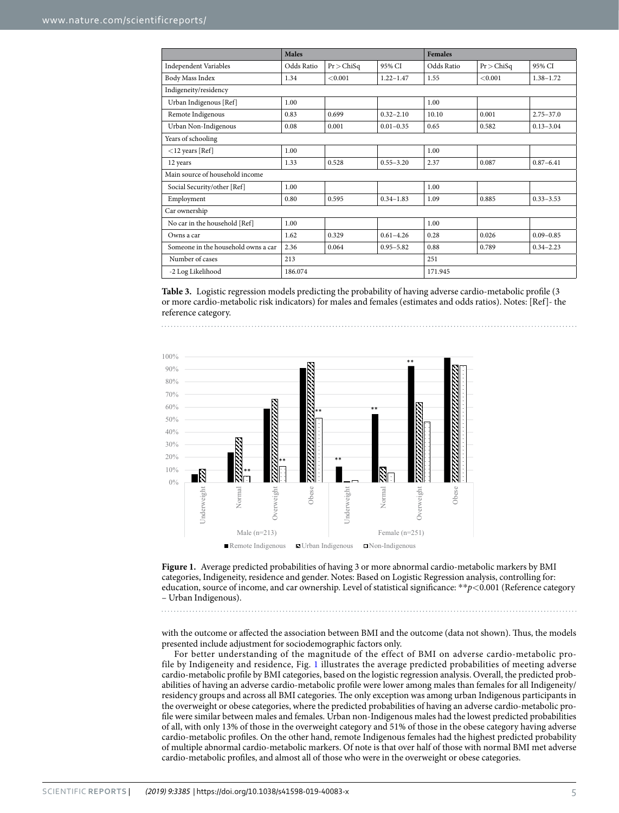<span id="page-4-0"></span>

|                                     | <b>Males</b> |            |               | <b>Females</b> |              |               |  |  |  |
|-------------------------------------|--------------|------------|---------------|----------------|--------------|---------------|--|--|--|
| <b>Independent Variables</b>        | Odds Ratio   | Pr > ChiSq | 95% CI        | Odds Ratio     | $Pr$ > ChiSq | 95% CI        |  |  |  |
| Body Mass Index                     | 1.34         | < 0.001    | $1.22 - 1.47$ | 1.55           | < 0.001      | $1.38 - 1.72$ |  |  |  |
| Indigeneity/residency               |              |            |               |                |              |               |  |  |  |
| Urban Indigenous [Ref]              | 1.00         |            |               | 1.00           |              |               |  |  |  |
| Remote Indigenous                   | 0.83         | 0.699      | $0.32 - 2.10$ | 10.10          | 0.001        | $2.75 - 37.0$ |  |  |  |
| Urban Non-Indigenous                | 0.08         | 0.001      | $0.01 - 0.35$ | 0.65           | 0.582        | $0.13 - 3.04$ |  |  |  |
| Years of schooling                  |              |            |               |                |              |               |  |  |  |
| $<$ 12 years [Ref]                  | 1.00         |            |               | 1.00           |              |               |  |  |  |
| 12 years                            | 1.33         | 0.528      | $0.55 - 3.20$ | 2.37           | 0.087        | $0.87 - 6.41$ |  |  |  |
| Main source of household income     |              |            |               |                |              |               |  |  |  |
| Social Security/other [Ref]         | 1.00         |            |               | 1.00           |              |               |  |  |  |
| Employment                          | 0.80         | 0.595      | $0.34 - 1.83$ | 1.09           | 0.885        | $0.33 - 3.53$ |  |  |  |
| Car ownership                       |              |            |               |                |              |               |  |  |  |
| No car in the household [Ref]       | 1.00         |            |               | 1.00           |              |               |  |  |  |
| Owns a car                          | 1.62         | 0.329      | $0.61 - 4.26$ | 0.28           | 0.026        | $0.09 - 0.85$ |  |  |  |
| Someone in the household owns a car | 2.36         | 0.064      | $0.95 - 5.82$ | 0.88           | 0.789        | $0.34 - 2.23$ |  |  |  |
| Number of cases                     | 213          |            |               | 251            |              |               |  |  |  |
| -2 Log Likelihood                   | 186.074      |            |               | 171.945        |              |               |  |  |  |

**Table 3.** Logistic regression models predicting the probability of having adverse cardio-metabolic profle (3 or more cardio-metabolic risk indicators) for males and females (estimates and odds ratios). Notes: [Ref]- the reference category.



<span id="page-4-1"></span>**Figure 1.** Average predicted probabilities of having 3 or more abnormal cardio-metabolic markers by BMI categories, Indigeneity, residence and gender. Notes: Based on Logistic Regression analysis, controlling for: education, source of income, and car ownership. Level of statistical signifcance: \*\**p*<0.001 (Reference category – Urban Indigenous).

with the outcome or affected the association between BMI and the outcome (data not shown). Thus, the models presented include adjustment for sociodemographic factors only.

For better understanding of the magnitude of the effect of BMI on adverse cardio-metabolic profile by Indigeneity and residence, Fig. [1](#page-4-1) illustrates the average predicted probabilities of meeting adverse cardio-metabolic profle by BMI categories, based on the logistic regression analysis. Overall, the predicted probabilities of having an adverse cardio-metabolic profle were lower among males than females for all Indigeneity/ residency groups and across all BMI categories. The only exception was among urban Indigenous participants in the overweight or obese categories, where the predicted probabilities of having an adverse cardio-metabolic profle were similar between males and females. Urban non-Indigenous males had the lowest predicted probabilities of all, with only 13% of those in the overweight category and 51% of those in the obese category having adverse cardio-metabolic profles. On the other hand, remote Indigenous females had the highest predicted probability of multiple abnormal cardio-metabolic markers. Of note is that over half of those with normal BMI met adverse cardio-metabolic profles, and almost all of those who were in the overweight or obese categories.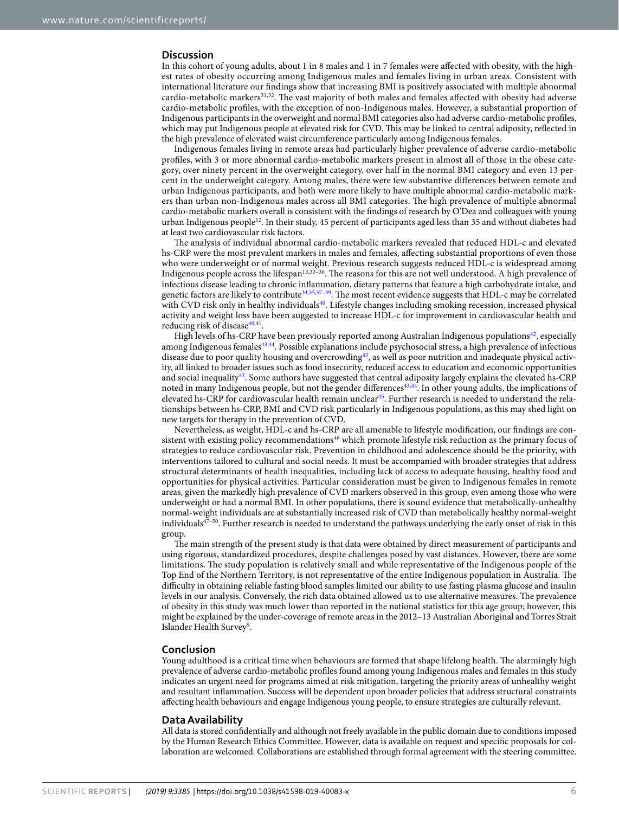### **Discussion**

In this cohort of young adults, about 1 in 8 males and 1 in 7 females were afected with obesity, with the highest rates of obesity occurring among Indigenous males and females living in urban areas. Consistent with international literature our fndings show that increasing BMI is positively associated with multiple abnormal cardio-metabolic markers<sup>[31,](#page-6-26)32</sup>. The vast majority of both males and females affected with obesity had adverse cardio-metabolic profles, with the exception of non-Indigenous males. However, a substantial proportion of Indigenous participants in the overweight and normal BMI categories also had adverse cardio-metabolic profles, which may put Indigenous people at elevated risk for CVD. This may be linked to central adiposity, reflected in the high prevalence of elevated waist circumference particularly among Indigenous females.

Indigenous females living in remote areas had particularly higher prevalence of adverse cardio-metabolic profles, with 3 or more abnormal cardio-metabolic markers present in almost all of those in the obese category, over ninety percent in the overweight category, over half in the normal BMI category and even 13 percent in the underweight category. Among males, there were few substantive diferences between remote and urban Indigenous participants, and both were more likely to have multiple abnormal cardio-metabolic markers than urban non-Indigenous males across all BMI categories. The high prevalence of multiple abnormal cardio-metabolic markers overall is consistent with the fndings of research by O'Dea and colleagues with young urban Indigenous people<sup>[12](#page-6-11)</sup>. In their study, 45 percent of participants aged less than 35 and without diabetes had at least two cardiovascular risk factors.

The analysis of individual abnormal cardio-metabolic markers revealed that reduced HDL-c and elevated hs-CRP were the most prevalent markers in males and females, afecting substantial proportions of even those who were underweight or of normal weight. Previous research suggests reduced HDL-c is widespread among Indigenous people across the lifespan<sup>[13,](#page-6-28)[33–](#page-6-29)[36](#page-6-30)</sup>. The reasons for this are not well understood. A high prevalence of infectious disease leading to chronic infammation, dietary patterns that feature a high carbohydrate intake, and genetic factors are likely to contribute<sup>34[,35](#page-6-32)[,37–](#page-6-33)39</sup>. The most recent evidence suggests that HDL-c may be correlated with CVD risk only in healthy individuals<sup>40</sup>. Lifestyle changes including smoking recession, increased physical activity and weight loss have been suggested to increase HDL-c for improvement in cardiovascular health and reducing risk of disease<sup>40,41</sup>.

High levels of hs-CRP have been previously reported among Australian Indigenous populations $42$ , especially among Indigenous females<sup>[43](#page-6-38),[44](#page-6-39)</sup>. Possible explanations include psychosocial stress, a high prevalence of infectious disease due to poor quality housing and overcrowding<sup>[43](#page-6-38)</sup>, as well as poor nutrition and inadequate physical activity, all linked to broader issues such as food insecurity, reduced access to education and economic opportunities and social inequality<sup>42</sup>. Some authors have suggested that central adiposity largely explains the elevated hs-CRP noted in many Indigenous people, but not the gender diferences[43](#page-6-38),[44](#page-6-39). In other young adults, the implications of elevated hs-CRP for cardiovascular health remain unclear<sup>45</sup>. Further research is needed to understand the relationships between hs-CRP, BMI and CVD risk particularly in Indigenous populations, as this may shed light on new targets for therapy in the prevention of CVD.

Nevertheless, as weight, HDL-c and hs-CRP are all amenable to lifestyle modifcation, our fndings are consistent with existing policy recommendations<sup>46</sup> which promote lifestyle risk reduction as the primary focus of strategies to reduce cardiovascular risk. Prevention in childhood and adolescence should be the priority, with interventions tailored to cultural and social needs. It must be accompanied with broader strategies that address structural determinants of health inequalities, including lack of access to adequate housing, healthy food and opportunities for physical activities. Particular consideration must be given to Indigenous females in remote areas, given the markedly high prevalence of CVD markers observed in this group, even among those who were underweight or had a normal BMI. In other populations, there is sound evidence that metabolically-unhealthy normal-weight individuals are at substantially increased risk of CVD than metabolically healthy normal-weight individuals $47-50$  $47-50$ . Further research is needed to understand the pathways underlying the early onset of risk in this group.

The main strength of the present study is that data were obtained by direct measurement of participants and using rigorous, standardized procedures, despite challenges posed by vast distances. However, there are some limitations. The study population is relatively small and while representative of the Indigenous people of the Top End of the Northern Territory, is not representative of the entire Indigenous population in Australia. The difculty in obtaining reliable fasting blood samples limited our ability to use fasting plasma glucose and insulin levels in our analysis. Conversely, the rich data obtained allowed us to use alternative measures. The prevalence of obesity in this study was much lower than reported in the national statistics for this age group; however, this might be explained by the under-coverage of remote areas in the 2012–13 Australian Aboriginal and Torres Strait Islander Health Survey<sup>9</sup>.

#### **Conclusion**

Young adulthood is a critical time when behaviours are formed that shape lifelong health. The alarmingly high prevalence of adverse cardio-metabolic profles found among young Indigenous males and females in this study indicates an urgent need for programs aimed at risk mitigation, targeting the priority areas of unhealthy weight and resultant infammation. Success will be dependent upon broader policies that address structural constraints afecting health behaviours and engage Indigenous young people, to ensure strategies are culturally relevant.

#### **Data Availability**

All data is stored confdentially and although not freely available in the public domain due to conditions imposed by the Human Research Ethics Committee. However, data is available on request and specifc proposals for collaboration are welcomed. Collaborations are established through formal agreement with the steering committee.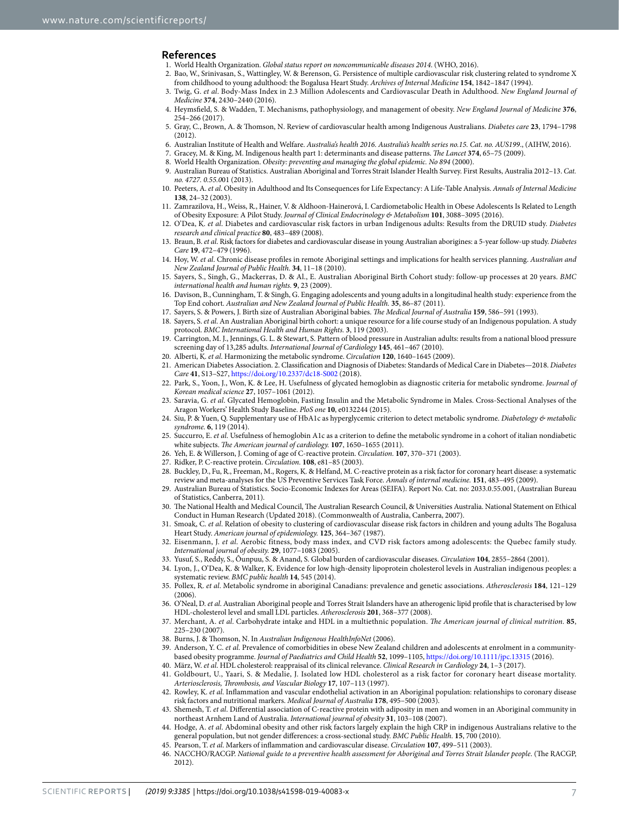#### **References**

- <span id="page-6-0"></span>1. World Health Organization. *Global status report on noncommunicable diseases 2014*. (WHO, 2016).
- <span id="page-6-1"></span>2. Bao, W., Srinivasan, S., Wattingley, W. & Berenson, G. Persistence of multiple cardiovascular risk clustering related to syndrome X from childhood to young adulthood: the Bogalusa Heart Study. *Archives of Internal Medicine* **154**, 1842–1847 (1994).
- <span id="page-6-3"></span><span id="page-6-2"></span>3. Twig, G. *et al*. Body-Mass Index in 2.3 Million Adolescents and Cardiovascular Death in Adulthood. *New England Journal of Medicine* **374**, 2430–2440 (2016).
	- 4. Heymsfeld, S. & Wadden, T. Mechanisms, pathophysiology, and management of obesity. *New England Journal of Medicine* **376**, 254–266 (2017).
- <span id="page-6-4"></span>5. Gray, C., Brown, A. & Tomson, N. Review of cardiovascular health among Indigenous Australians. *Diabetes care* **23**, 1794–1798  $(2012)$
- <span id="page-6-5"></span>6. Australian Institute of Health and Welfare. *Australia's health 2016. Australia's health series no.15. Cat. no. AUS199*., (AIHW, 2016).
- <span id="page-6-6"></span>7. Gracey, M. & King, M. Indigenous health part 1: determinants and disease patterns. *Te Lancet* **374**, 65–75 (2009).
- <span id="page-6-7"></span>8. World Health Organization. *Obesity: preventing and managing the global epidemic. No 894* (2000).
- <span id="page-6-8"></span>9. Australian Bureau of Statistics. Australian Aboriginal and Torres Strait Islander Health Survey. First Results, Australia 2012–13. *Cat. no. 4727. 0.55.0*01 (2013).
- <span id="page-6-9"></span>10. Peeters, A. *et al*. Obesity in Adulthood and Its Consequences for Life Expectancy: A Life-Table Analysis. *Annals of Internal Medicine* **138**, 24–32 (2003).
- <span id="page-6-10"></span>11. Zamrazilova, H., Weiss, R., Hainer, V. & Aldhoon-Hainerová, I. Cardiometabolic Health in Obese Adolescents Is Related to Length of Obesity Exposure: A Pilot Study. *Journal of Clinical Endocrinology & Metabolism* **101**, 3088–3095 (2016).
- <span id="page-6-11"></span>12. O'Dea, K. *et al*. Diabetes and cardiovascular risk factors in urban Indigenous adults: Results from the DRUID study. *Diabetes research and clinical practice* **80**, 483–489 (2008).
- <span id="page-6-28"></span>13. Braun, B. *et al*. Risk factors for diabetes and cardiovascular disease in young Australian aborigines: a 5-year follow-up study. *Diabetes Care* **19**, 472–479 (1996).
- <span id="page-6-12"></span>14. Hoy, W. *et al*. Chronic disease profles in remote Aboriginal settings and implications for health services planning. *Australian and New Zealand Journal of Public Health.* **34**, 11–18 (2010).
- <span id="page-6-13"></span>15. Sayers, S., Singh, G., Mackerras, D. & Al., E. Australian Aboriginal Birth Cohort study: follow-up processes at 20 years. *BMC international health and human rights.* **9**, 23 (2009).
- <span id="page-6-14"></span>16. Davison, B., Cunningham, T. & Singh, G. Engaging adolescents and young adults in a longitudinal health study: experience from the Top End cohort. *Australian and New Zealand Journal of Public Health.* **35**, 86–87 (2011).
- <span id="page-6-15"></span>17. Sayers, S. & Powers, J. Birth size of Australian Aboriginal babies. *Te Medical Journal of Australia* **159**, 586–591 (1993).
- <span id="page-6-16"></span>18. Sayers, S. *et al*. An Australian Aboriginal birth cohort: a unique resource for a life course study of an Indigenous population. A study protocol. *BMC International Health and Human Rights.* **3**, 119 (2003).
- <span id="page-6-17"></span>19. Carrington, M. J., Jennings, G. L. & Stewart, S. Pattern of blood pressure in Australian adults: results from a national blood pressure screening day of 13,285 adults. *International Journal of Cardiology* **145**, 461–467 (2010).
- <span id="page-6-18"></span>20. Alberti, K. *et al*. Harmonizing the metabolic syndrome. *Circulation* **120**, 1640–1645 (2009).
- <span id="page-6-19"></span>21. American Diabetes Association. 2. Classifcation and Diagnosis of Diabetes: Standards of Medical Care in Diabetes—2018. *Diabetes Care* **41**, S13–S27, <https://doi.org/10.2337/dc18-S002> (2018).
- 22. Park, S., Yoon, J., Won, K. & Lee, H. Usefulness of glycated hemoglobin as diagnostic criteria for metabolic syndrome. *Journal of Korean medical science* **27**, 1057–1061 (2012).
- 23. Saravia, G. *et al*. Glycated Hemoglobin, Fasting Insulin and the Metabolic Syndrome in Males. Cross-Sectional Analyses of the Aragon Workers' Health Study Baseline. *PloS one* **10**, e0132244 (2015).
- 24. Siu, P. & Yuen, Q. Supplementary use of HbA1c as hyperglycemic criterion to detect metabolic syndrome. *Diabetology & metabolic syndrome.* **6**, 119 (2014).
- <span id="page-6-20"></span>25. Succurro, E. *et al*. Usefulness of hemoglobin A1c as a criterion to defne the metabolic syndrome in a cohort of italian nondiabetic white subjects. *The American journal of cardiology*. **107**, 1650–1655 (2011).
- <span id="page-6-21"></span>26. Yeh, E. & Willerson, J. Coming of age of C-reactive protein. *Circulation.* **107**, 370–371 (2003).
- <span id="page-6-22"></span>27. Ridker, P. C-reactive protein. *Circulation.* **108**, e81–85 (2003).
- <span id="page-6-23"></span>28. Buckley, D., Fu, R., Freeman, M., Rogers, K. & Helfand, M. C-reactive protein as a risk factor for coronary heart disease: a systematic review and meta-analyses for the US Preventive Services Task Force. *Annals of internal medicine.* **151**, 483–495 (2009).
- <span id="page-6-24"></span>29. Australian Bureau of Statistics. Socio-Economic Indexes for Areas (SEIFA). Report No. Cat. no: 2033.0.55.001, (Australian Bureau of Statistics, Canberra, 2011).
- <span id="page-6-25"></span>The National Health and Medical Council, The Australian Research Council, & Universities Australia. National Statement on Ethical Conduct in Human Research (Updated 2018). (Commonwealth of Australia, Canberra, 2007).
- <span id="page-6-26"></span>31. Smoak, C. *et al*. Relation of obesity to clustering of cardiovascular disease risk factors in children and young adults Te Bogalusa Heart Study. *American journal of epidemiology.* **125**, 364–367 (1987).
- <span id="page-6-27"></span>32. Eisenmann, J. *et al*. Aerobic fitness, body mass index, and CVD risk factors among adolescents: the Quebec family study. *International journal of obesity.* **29**, 1077–1083 (2005).
- <span id="page-6-29"></span>33. Yusuf, S., Reddy, S., Ôunpuu, S. & Anand, S. Global burden of cardiovascular diseases. *Circulation* **104**, 2855–2864 (2001).
- <span id="page-6-31"></span>34. Lyon, J., O'Dea, K. & Walker, K. Evidence for low high-density lipoprotein cholesterol levels in Australian indigenous peoples: a systematic review. *BMC public health* **14**, 545 (2014).
- <span id="page-6-32"></span>35. Pollex, R. *et al*. Metabolic syndrome in aboriginal Canadians: prevalence and genetic associations. *Atherosclerosis* **184**, 121–129  $(2006)$
- <span id="page-6-30"></span>36. O'Neal, D. *et al*. Australian Aboriginal people and Torres Strait Islanders have an atherogenic lipid profle that is characterised by low HDL-cholesterol level and small LDL particles. *Atherosclerosis* **201**, 368–377 (2008).
- <span id="page-6-33"></span>37. Merchant, A. *et al*. Carbohydrate intake and HDL in a multiethnic population. *Te American journal of clinical nutrition.* **85**, 225–230 (2007).
- 38. Burns, J. & Tomson, N. In *Australian Indigenous HealthInfoNet* (2006).
- <span id="page-6-34"></span>39. Anderson, Y. C. *et al*. Prevalence of comorbidities in obese New Zealand children and adolescents at enrolment in a communitybased obesity programme. *Journal of Paediatrics and Child Health* **52**, 1099–1105,<https://doi.org/10.1111/jpc.13315> (2016).
- <span id="page-6-35"></span>40. März, W. *et al*. HDL cholesterol: reappraisal of its clinical relevance. *Clinical Research in Cardiology* **24**, 1–3 (2017).
- <span id="page-6-36"></span>41. Goldbourt, U., Yaari, S. & Medalie, J. Isolated low HDL cholesterol as a risk factor for coronary heart disease mortality. *Arteriosclerosis, Trombosis, and Vascular Biology* **17**, 107–113 (1997).
- <span id="page-6-37"></span>42. Rowley, K. *et al*. Infammation and vascular endothelial activation in an Aboriginal population: relationships to coronary disease risk factors and nutritional markers. *Medical Journal of Australia* **178**, 495–500 (2003).
- <span id="page-6-38"></span>43. Shemesh, T. *et al*. Diferential association of C-reactive protein with adiposity in men and women in an Aboriginal community in northeast Arnhem Land of Australia. *International journal of obesity* **31**, 103–108 (2007).
- <span id="page-6-39"></span>44. Hodge, A. *et al*. Abdominal obesity and other risk factors largely explain the high CRP in indigenous Australians relative to the general population, but not gender diferences: a cross-sectional study. *BMC Public Health.* **15**, 700 (2010).
- <span id="page-6-40"></span>45. Pearson, T. *et al*. Markers of infammation and cardiovascular disease. *Circulation* **107**, 499–511 (2003).
- <span id="page-6-41"></span>46. NACCHO/RACGP. *National guide to a preventive health assessment for Aboriginal and Torres Strait Islander people*. (The RACGP, 2012).